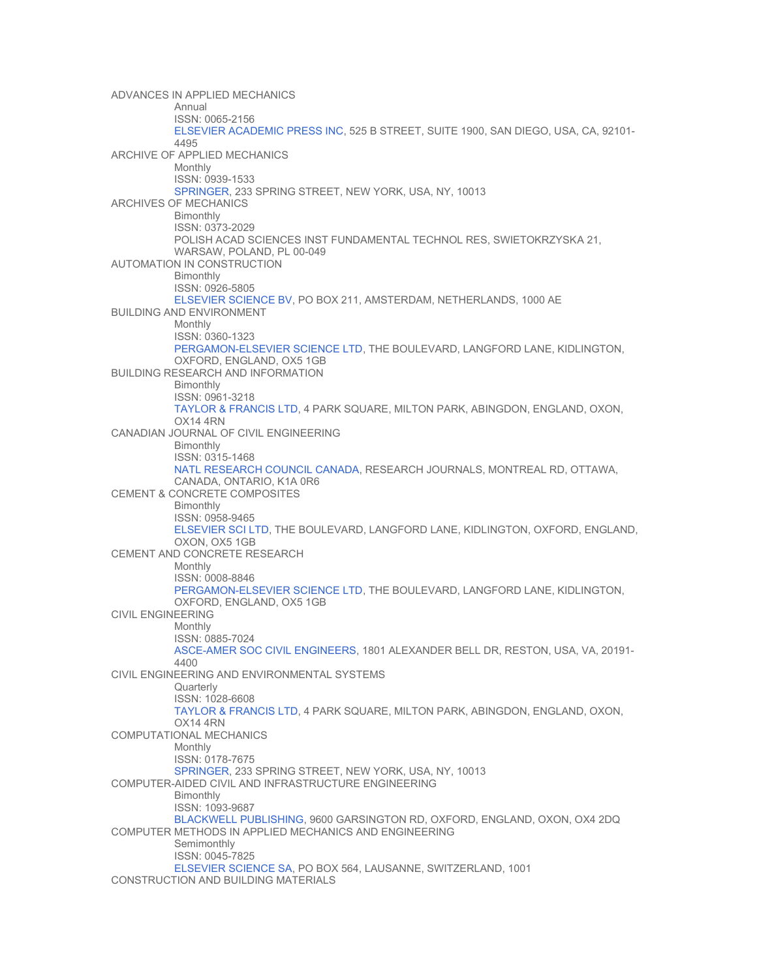ADVANCES IN APPLIED MECHANICS Annual ISSN: 0065-2156 [ELSEVIER ACADEMIC PRESS INC](http://www.books.elsevier.com/), 525 B STREET, SUITE 1900, SAN DIEGO, USA, CA, 92101- 4495 ARCHIVE OF APPLIED MECHANICS Monthly ISSN: 0939-1533 [SPRINGER](http://www.springeronline.com/), 233 SPRING STREET, NEW YORK, USA, NY, 10013 ARCHIVES OF MECHANICS Bimonthly ISSN: 0373-2029 POLISH ACAD SCIENCES INST FUNDAMENTAL TECHNOL RES, SWIETOKRZYSKA 21, WARSAW, POLAND, PL 00-049 AUTOMATION IN CONSTRUCTION **Bimonthly** ISSN: 0926-5805 [ELSEVIER SCIENCE BV](http://www.elsevier.com/), PO BOX 211, AMSTERDAM, NETHERLANDS, 1000 AE BUILDING AND ENVIRONMENT Monthly ISSN: 0360-1323 [PERGAMON-ELSEVIER SCIENCE LTD](http://www.elsevier.com/), THE BOULEVARD, LANGFORD LANE, KIDLINGTON, OXFORD, ENGLAND, OX5 1GB BUILDING RESEARCH AND INFORMATION **Bimonthly** ISSN: 0961-3218 [TAYLOR & FRANCIS LTD](http://www.tandf.co.uk/), 4 PARK SQUARE, MILTON PARK, ABINGDON, ENGLAND, OXON, OX14 4RN CANADIAN JOURNAL OF CIVIL ENGINEERING Bimonthly ISSN: 0315-1468 [NATL RESEARCH COUNCIL CANADA,](http://www.nrc.ca/cisti/journals/) RESEARCH JOURNALS, MONTREAL RD, OTTAWA, CANADA, ONTARIO, K1A 0R6 CEMENT & CONCRETE COMPOSITES Bimonthly ISSN: 0958-9465 [ELSEVIER SCI LTD,](http://www.elsevier.nl/) THE BOULEVARD, LANGFORD LANE, KIDLINGTON, OXFORD, ENGLAND, OXON, OX5 1GB CEMENT AND CONCRETE RESEARCH Monthly ISSN: 0008-8846 [PERGAMON-ELSEVIER SCIENCE LTD](http://www.elsevier.com/), THE BOULEVARD, LANGFORD LANE, KIDLINGTON, OXFORD, ENGLAND, OX5 1GB CIVIL ENGINEERING Monthly ISSN: 0885-7024 [ASCE-AMER SOC CIVIL ENGINEERS](http://www.asce.org/), 1801 ALEXANDER BELL DR, RESTON, USA, VA, 20191- 4400 CIVIL ENGINEERING AND ENVIRONMENTAL SYSTEMS **Quarterly** ISSN: 1028-6608 [TAYLOR & FRANCIS LTD](http://www.tandf.co.uk/), 4 PARK SQUARE, MILTON PARK, ABINGDON, ENGLAND, OXON, OX14 4RN COMPUTATIONAL MECHANICS Monthly ISSN: 0178-7675 [SPRINGER](http://www.springeronline.com/), 233 SPRING STREET, NEW YORK, USA, NY, 10013 COMPUTER-AIDED CIVIL AND INFRASTRUCTURE ENGINEERING Bimonthly ISSN: 1093-9687 [BLACKWELL PUBLISHING,](http://www.blackwell-science.com/) 9600 GARSINGTON RD, OXFORD, ENGLAND, OXON, OX4 2DQ COMPUTER METHODS IN APPLIED MECHANICS AND ENGINEERING **Semimonthly** ISSN: 0045-7825 [ELSEVIER SCIENCE SA](http://www.elsevier.nl/), PO BOX 564, LAUSANNE, SWITZERLAND, 1001 CONSTRUCTION AND BUILDING MATERIALS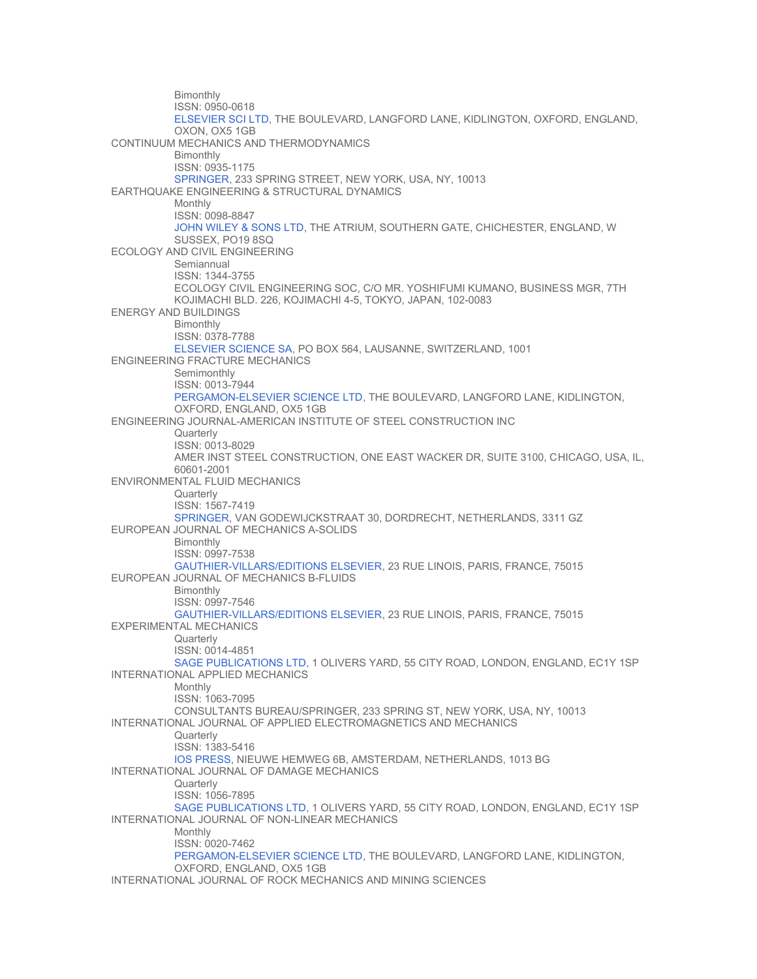Bimonthly ISSN: 0950-0618 [ELSEVIER SCI LTD,](http://www.elsevier.nl/) THE BOULEVARD, LANGFORD LANE, KIDLINGTON, OXFORD, ENGLAND, OXON, OX5 1GB CONTINUUM MECHANICS AND THERMODYNAMICS Bimonthly ISSN: 0935-1175 [SPRINGER](http://www.springeronline.com/), 233 SPRING STREET, NEW YORK, USA, NY, 10013 EARTHQUAKE ENGINEERING & STRUCTURAL DYNAMICS Monthly ISSN: 0098-8847 [JOHN WILEY & SONS LTD,](http://www.wiley.co.uk/) THE ATRIUM, SOUTHERN GATE, CHICHESTER, ENGLAND, W SUSSEX, PO19 8SQ ECOLOGY AND CIVIL ENGINEERING **Semiannual** ISSN: 1344-3755 ECOLOGY CIVIL ENGINEERING SOC, C/O MR. YOSHIFUMI KUMANO, BUSINESS MGR, 7TH KOJIMACHI BLD. 226, KOJIMACHI 4-5, TOKYO, JAPAN, 102-0083 ENERGY AND BUILDINGS Bimonthly ISSN: 0378-7788 [ELSEVIER SCIENCE SA](http://www.elsevier.nl/), PO BOX 564, LAUSANNE, SWITZERLAND, 1001 ENGINEERING FRACTURE MECHANICS **Semimonthly** ISSN: 0013-7944 [PERGAMON-ELSEVIER SCIENCE LTD](http://www.elsevier.com/), THE BOULEVARD, LANGFORD LANE, KIDLINGTON, OXFORD, ENGLAND, OX5 1GB ENGINEERING JOURNAL-AMERICAN INSTITUTE OF STEEL CONSTRUCTION INC **Quarterly** ISSN: 0013-8029 AMER INST STEEL CONSTRUCTION, ONE EAST WACKER DR, SUITE 3100, CHICAGO, USA, IL, 60601-2001 ENVIRONMENTAL FLUID MECHANICS **Quarterly** ISSN: 1567-7419 [SPRINGER](http://www.springeronline.com/), VAN GODEWIJCKSTRAAT 30, DORDRECHT, NETHERLANDS, 3311 GZ EUROPEAN JOURNAL OF MECHANICS A-SOLIDS Bimonthly ISSN: 0997-7538 [GAUTHIER-VILLARS/EDITIONS ELSEVIER](http://www.gauthier-villars.fr/), 23 RUE LINOIS, PARIS, FRANCE, 75015 EUROPEAN JOURNAL OF MECHANICS B-FLUIDS **Bimonthly** ISSN: 0997-7546 [GAUTHIER-VILLARS/EDITIONS ELSEVIER](http://www.gauthier-villars.fr/), 23 RUE LINOIS, PARIS, FRANCE, 75015 EXPERIMENTAL MECHANICS **Quarterly** ISSN: 0014-4851 [SAGE PUBLICATIONS LTD,](http://www.sagepub.co.uk/) 1 OLIVERS YARD, 55 CITY ROAD, LONDON, ENGLAND, EC1Y 1SP INTERNATIONAL APPLIED MECHANICS Monthly ISSN: 1063-7095 CONSULTANTS BUREAU/SPRINGER, 233 SPRING ST, NEW YORK, USA, NY, 10013 INTERNATIONAL JOURNAL OF APPLIED ELECTROMAGNETICS AND MECHANICS **Quarterly** ISSN: 1383-5416 [IOS PRESS,](http://www.iospress.nl/) NIEUWE HEMWEG 6B, AMSTERDAM, NETHERLANDS, 1013 BG INTERNATIONAL JOURNAL OF DAMAGE MECHANICS **Quarterly** ISSN: 1056-7895 [SAGE PUBLICATIONS LTD,](http://www.sagepub.co.uk/) 1 OLIVERS YARD, 55 CITY ROAD, LONDON, ENGLAND, EC1Y 1SP INTERNATIONAL JOURNAL OF NON-LINEAR MECHANICS Monthly ISSN: 0020-7462 [PERGAMON-ELSEVIER SCIENCE LTD](http://www.elsevier.com/), THE BOULEVARD, LANGFORD LANE, KIDLINGTON, OXFORD, ENGLAND, OX5 1GB INTERNATIONAL JOURNAL OF ROCK MECHANICS AND MINING SCIENCES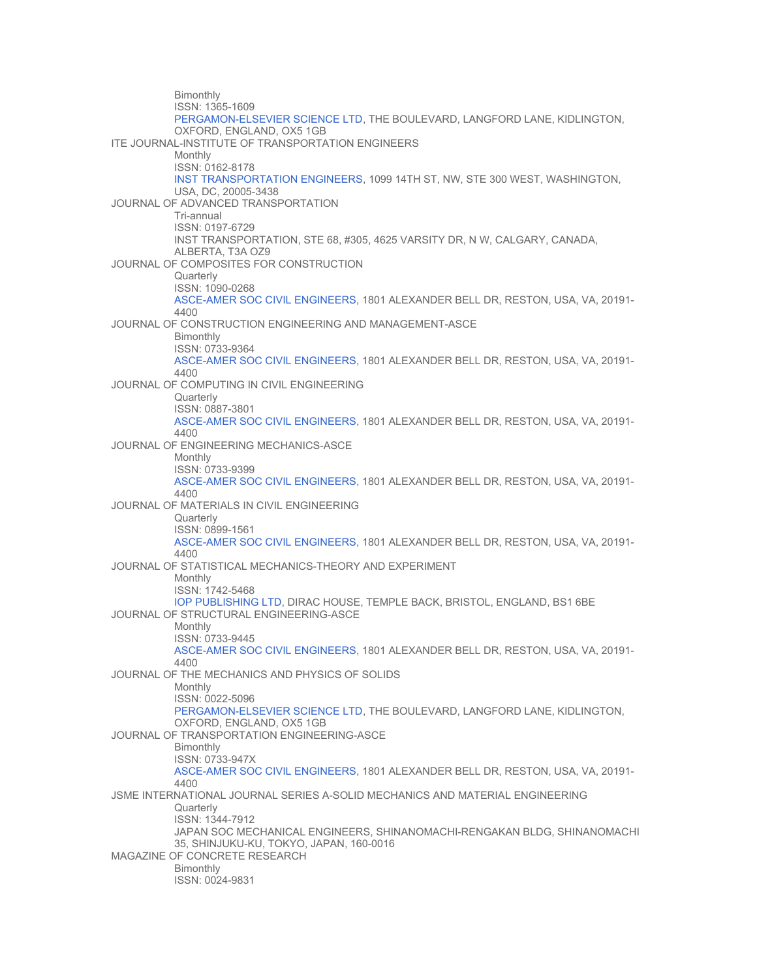Bimonthly ISSN: 1365-1609 [PERGAMON-ELSEVIER SCIENCE LTD](http://www.elsevier.com/), THE BOULEVARD, LANGFORD LANE, KIDLINGTON, OXFORD, ENGLAND, OX5 1GB ITE JOURNAL-INSTITUTE OF TRANSPORTATION ENGINEERS Monthly ISSN: 0162-8178 [INST TRANSPORTATION ENGINEERS](http://www.ite.org/), 1099 14TH ST, NW, STE 300 WEST, WASHINGTON, USA, DC, 20005-3438 JOURNAL OF ADVANCED TRANSPORTATION Tri-annual ISSN: 0197-6729 INST TRANSPORTATION, STE 68, #305, 4625 VARSITY DR, N W, CALGARY, CANADA, ALBERTA, T3A OZ9 JOURNAL OF COMPOSITES FOR CONSTRUCTION **Quarterly** ISSN: 1090-0268 [ASCE-AMER SOC CIVIL ENGINEERS](http://www.asce.org/), 1801 ALEXANDER BELL DR, RESTON, USA, VA, 20191- 4400 JOURNAL OF CONSTRUCTION ENGINEERING AND MANAGEMENT-ASCE Bimonthly ISSN: 0733-9364 [ASCE-AMER SOC CIVIL ENGINEERS](http://www.asce.org/), 1801 ALEXANDER BELL DR, RESTON, USA, VA, 20191- 4400 JOURNAL OF COMPUTING IN CIVIL ENGINEERING **Quarterly** ISSN: 0887-3801 [ASCE-AMER SOC CIVIL ENGINEERS](http://www.asce.org/), 1801 ALEXANDER BELL DR, RESTON, USA, VA, 20191- 4400 JOURNAL OF ENGINEERING MECHANICS-ASCE Monthly ISSN: 0733-9399 [ASCE-AMER SOC CIVIL ENGINEERS](http://www.asce.org/), 1801 ALEXANDER BELL DR, RESTON, USA, VA, 20191- 4400 JOURNAL OF MATERIALS IN CIVIL ENGINEERING **Quarterly** ISSN: 0899-1561 [ASCE-AMER SOC CIVIL ENGINEERS](http://www.asce.org/), 1801 ALEXANDER BELL DR, RESTON, USA, VA, 20191- 4400 JOURNAL OF STATISTICAL MECHANICS-THEORY AND EXPERIMENT Monthly ISSN: 1742-5468 [IOP PUBLISHING LTD,](http://www.iop.org/) DIRAC HOUSE, TEMPLE BACK, BRISTOL, ENGLAND, BS1 6BE JOURNAL OF STRUCTURAL ENGINEERING-ASCE Monthly ISSN: 0733-9445 [ASCE-AMER SOC CIVIL ENGINEERS](http://www.asce.org/), 1801 ALEXANDER BELL DR, RESTON, USA, VA, 20191- 4400 JOURNAL OF THE MECHANICS AND PHYSICS OF SOLIDS Monthly ISSN: 0022-5096 [PERGAMON-ELSEVIER SCIENCE LTD](http://www.elsevier.com/), THE BOULEVARD, LANGFORD LANE, KIDLINGTON, OXFORD, ENGLAND, OX5 1GB JOURNAL OF TRANSPORTATION ENGINEERING-ASCE **Bimonthly** ISSN: 0733-947X [ASCE-AMER SOC CIVIL ENGINEERS](http://www.asce.org/), 1801 ALEXANDER BELL DR, RESTON, USA, VA, 20191- 4400 JSME INTERNATIONAL JOURNAL SERIES A-SOLID MECHANICS AND MATERIAL ENGINEERING **Quarterly** ISSN: 1344-7912 JAPAN SOC MECHANICAL ENGINEERS, SHINANOMACHI-RENGAKAN BLDG, SHINANOMACHI 35, SHINJUKU-KU, TOKYO, JAPAN, 160-0016 MAGAZINE OF CONCRETE RESEARCH Bimonthly ISSN: 0024-9831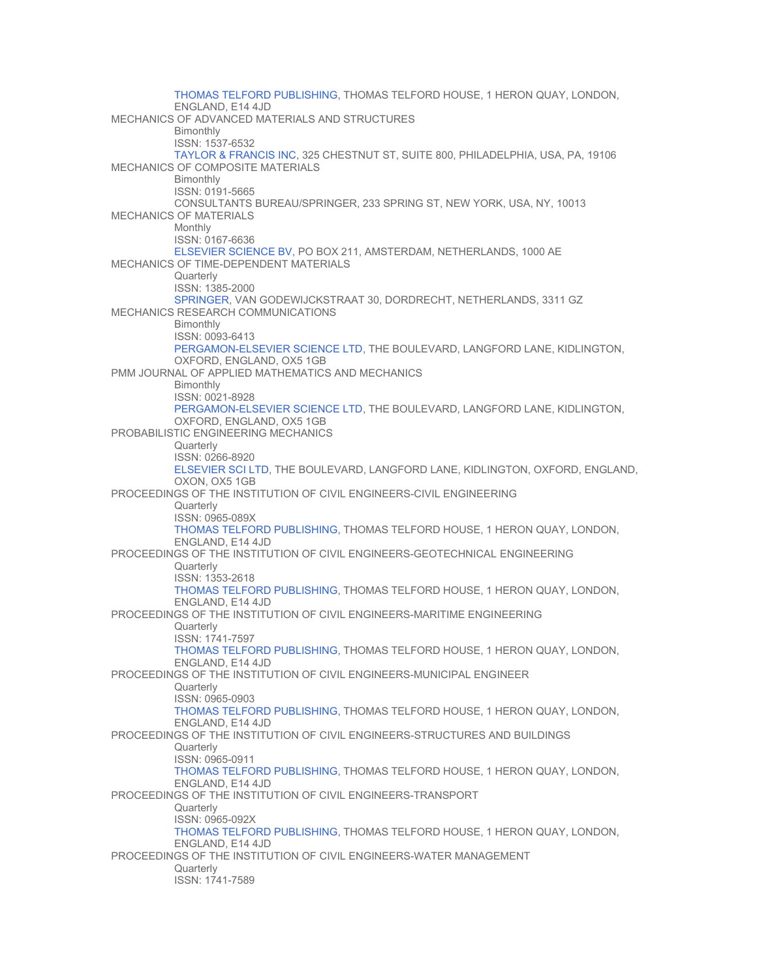[THOMAS TELFORD PUBLISHING](http://www.thomastelford.com/), THOMAS TELFORD HOUSE, 1 HERON QUAY, LONDON, ENGLAND, E14 4JD MECHANICS OF ADVANCED MATERIALS AND STRUCTURES Bimonthly ISSN: 1537-6532 [TAYLOR & FRANCIS INC,](http://www.tandf.co.uk/) 325 CHESTNUT ST, SUITE 800, PHILADELPHIA, USA, PA, 19106 MECHANICS OF COMPOSITE MATERIALS Bimonthly ISSN: 0191-5665 CONSULTANTS BUREAU/SPRINGER, 233 SPRING ST, NEW YORK, USA, NY, 10013 MECHANICS OF MATERIALS Monthly ISSN: 0167-6636 [ELSEVIER SCIENCE BV](http://www.elsevier.com/), PO BOX 211, AMSTERDAM, NETHERLANDS, 1000 AE MECHANICS OF TIME-DEPENDENT MATERIALS **Quarterly** ISSN: 1385-2000 [SPRINGER](http://www.springeronline.com/), VAN GODEWIJCKSTRAAT 30, DORDRECHT, NETHERLANDS, 3311 GZ MECHANICS RESEARCH COMMUNICATIONS **Bimonthly** ISSN: 0093-6413 [PERGAMON-ELSEVIER SCIENCE LTD](http://www.elsevier.com/), THE BOULEVARD, LANGFORD LANE, KIDLINGTON, OXFORD, ENGLAND, OX5 1GB PMM JOURNAL OF APPLIED MATHEMATICS AND MECHANICS **Bimonthly** ISSN: 0021-8928 [PERGAMON-ELSEVIER SCIENCE LTD](http://www.elsevier.com/), THE BOULEVARD, LANGFORD LANE, KIDLINGTON, OXFORD, ENGLAND, OX5 1GB PROBABILISTIC ENGINEERING MECHANICS **Quarterly** ISSN: 0266-8920 [ELSEVIER SCI LTD,](http://www.elsevier.nl/) THE BOULEVARD, LANGFORD LANE, KIDLINGTON, OXFORD, ENGLAND, OXON, OX5 1GB PROCEEDINGS OF THE INSTITUTION OF CIVIL ENGINEERS-CIVIL ENGINEERING **Quarterly** ISSN: 0965-089X [THOMAS TELFORD PUBLISHING](http://www.thomastelford.com/), THOMAS TELFORD HOUSE, 1 HERON QUAY, LONDON, ENGLAND, E14 4JD PROCEEDINGS OF THE INSTITUTION OF CIVIL ENGINEERS-GEOTECHNICAL ENGINEERING **Quarterly** ISSN: 1353-2618 [THOMAS TELFORD PUBLISHING](http://www.thomastelford.com/), THOMAS TELFORD HOUSE, 1 HERON QUAY, LONDON, ENGLAND, E14 4JD PROCEEDINGS OF THE INSTITUTION OF CIVIL ENGINEERS-MARITIME ENGINEERING **Quarterly** ISSN: 1741-7597 [THOMAS TELFORD PUBLISHING](http://www.thomastelford.com/), THOMAS TELFORD HOUSE, 1 HERON QUAY, LONDON, ENGLAND, E14 4JD PROCEEDINGS OF THE INSTITUTION OF CIVIL ENGINEERS-MUNICIPAL ENGINEER **Quarterly** ISSN: 0965-0903 [THOMAS TELFORD PUBLISHING](http://www.thomastelford.com/), THOMAS TELFORD HOUSE, 1 HERON QUAY, LONDON, ENGLAND, E14 4JD PROCEEDINGS OF THE INSTITUTION OF CIVIL ENGINEERS-STRUCTURES AND BUILDINGS **Quarterly** ISSN: 0965-0911 [THOMAS TELFORD PUBLISHING](http://www.thomastelford.com/), THOMAS TELFORD HOUSE, 1 HERON QUAY, LONDON, ENGLAND, E14 4JD PROCEEDINGS OF THE INSTITUTION OF CIVIL ENGINEERS-TRANSPORT **Quarterly** ISSN: 0965-092X [THOMAS TELFORD PUBLISHING](http://www.thomastelford.com/), THOMAS TELFORD HOUSE, 1 HERON QUAY, LONDON, ENGLAND, E14 4JD PROCEEDINGS OF THE INSTITUTION OF CIVIL ENGINEERS-WATER MANAGEMENT **Quarterly** ISSN: 1741-7589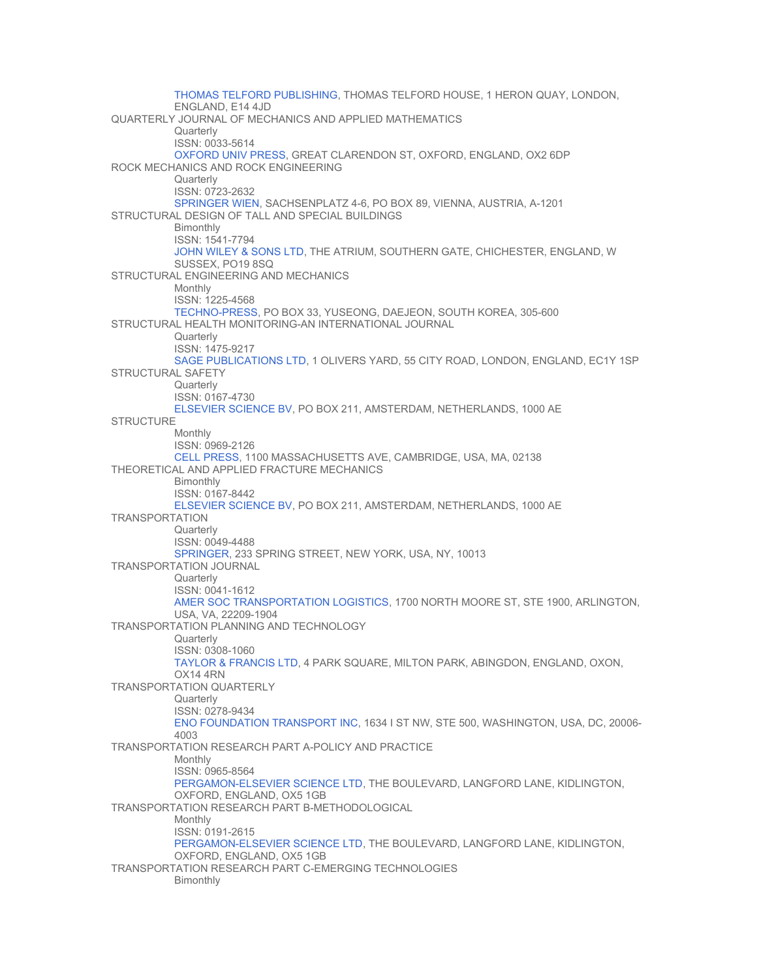[THOMAS TELFORD PUBLISHING](http://www.thomastelford.com/), THOMAS TELFORD HOUSE, 1 HERON QUAY, LONDON, ENGLAND, E14 4JD QUARTERLY JOURNAL OF MECHANICS AND APPLIED MATHEMATICS **Quarterly** ISSN: 0033-5614 [OXFORD UNIV PRESS](http://www.oup.co.uk/), GREAT CLARENDON ST, OXFORD, ENGLAND, OX2 6DP ROCK MECHANICS AND ROCK ENGINEERING **Quarterly** ISSN: 0723-2632 [SPRINGER WIEN,](http://www.springer.at/) SACHSENPLATZ 4-6, PO BOX 89, VIENNA, AUSTRIA, A-1201 STRUCTURAL DESIGN OF TALL AND SPECIAL BUILDINGS **Bimonthly** ISSN: 1541-7794 [JOHN WILEY & SONS LTD,](http://www.wiley.co.uk/) THE ATRIUM, SOUTHERN GATE, CHICHESTER, ENGLAND, W SUSSEX, PO19 8SQ STRUCTURAL ENGINEERING AND MECHANICS Monthly ISSN: 1225-4568 [TECHNO-PRESS,](http://technop.kaist.ac.kr/) PO BOX 33, YUSEONG, DAEJEON, SOUTH KOREA, 305-600 STRUCTURAL HEALTH MONITORING-AN INTERNATIONAL JOURNAL **Quarterly** ISSN: 1475-9217 [SAGE PUBLICATIONS LTD,](http://www.sagepub.co.uk/) 1 OLIVERS YARD, 55 CITY ROAD, LONDON, ENGLAND, EC1Y 1SP STRUCTURAL SAFETY **Quarterly** ISSN: 0167-4730 [ELSEVIER SCIENCE BV](http://www.elsevier.com/), PO BOX 211, AMSTERDAM, NETHERLANDS, 1000 AE **STRUCTURE** Monthly ISSN: 0969-2126 [CELL PRESS](http://www.cell.com/), 1100 MASSACHUSETTS AVE, CAMBRIDGE, USA, MA, 02138 THEORETICAL AND APPLIED FRACTURE MECHANICS Bimonthly ISSN: 0167-8442 [ELSEVIER SCIENCE BV](http://www.elsevier.com/), PO BOX 211, AMSTERDAM, NETHERLANDS, 1000 AE TRANSPORTATION **Quarterly** ISSN: 0049-4488 [SPRINGER](http://www.springeronline.com/), 233 SPRING STREET, NEW YORK, USA, NY, 10013 TRANSPORTATION JOURNAL **Quarterly** ISSN: 0041-1612 [AMER SOC TRANSPORTATION LOGISTICS,](http://www.astl.org/) 1700 NORTH MOORE ST, STE 1900, ARLINGTON, USA, VA, 22209-1904 TRANSPORTATION PLANNING AND TECHNOLOGY **Quarterly** ISSN: 0308-1060 [TAYLOR & FRANCIS LTD](http://www.tandf.co.uk/), 4 PARK SQUARE, MILTON PARK, ABINGDON, ENGLAND, OXON, OX14 4RN TRANSPORTATION QUARTERLY **Quarterly** ISSN: 0278-9434 [ENO FOUNDATION TRANSPORT INC,](http://www.enotrans.com/) 1634 I ST NW, STE 500, WASHINGTON, USA, DC, 20006- 4003 TRANSPORTATION RESEARCH PART A-POLICY AND PRACTICE Monthly ISSN: 0965-8564 [PERGAMON-ELSEVIER SCIENCE LTD](http://www.elsevier.com/), THE BOULEVARD, LANGFORD LANE, KIDLINGTON, OXFORD, ENGLAND, OX5 1GB TRANSPORTATION RESEARCH PART B-METHODOLOGICAL Monthly ISSN: 0191-2615 [PERGAMON-ELSEVIER SCIENCE LTD](http://www.elsevier.com/), THE BOULEVARD, LANGFORD LANE, KIDLINGTON, OXFORD, ENGLAND, OX5 1GB TRANSPORTATION RESEARCH PART C-EMERGING TECHNOLOGIES Bimonthly